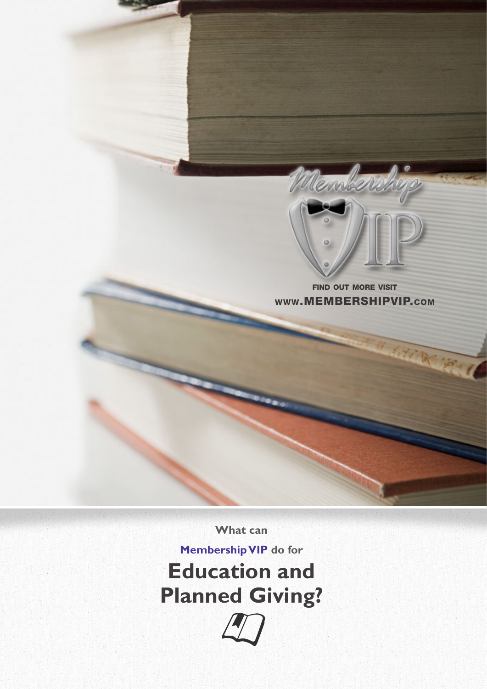

find out more visit www.MEMBERSHIPVIP.com

**What can** 

**Membership VIP do for Education and Planned Giving?**